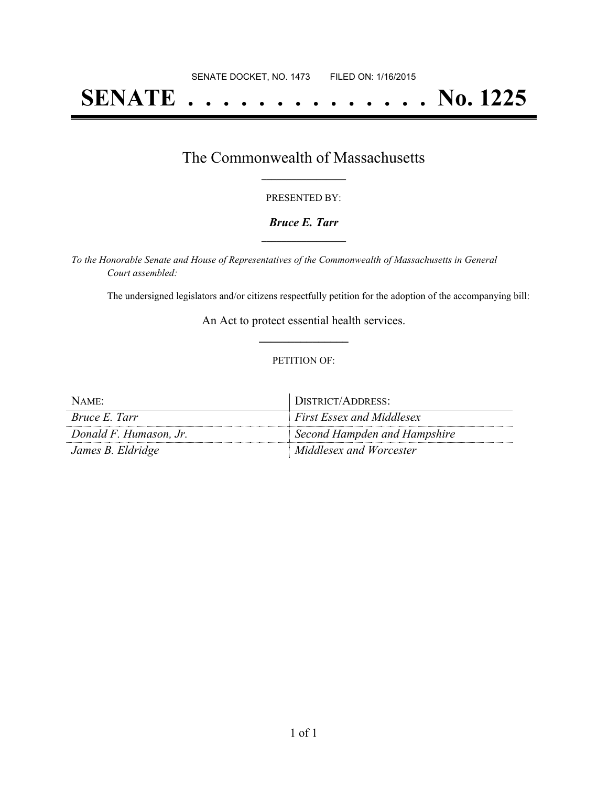# **SENATE . . . . . . . . . . . . . . No. 1225**

## The Commonwealth of Massachusetts **\_\_\_\_\_\_\_\_\_\_\_\_\_\_\_\_\_**

#### PRESENTED BY:

#### *Bruce E. Tarr* **\_\_\_\_\_\_\_\_\_\_\_\_\_\_\_\_\_**

*To the Honorable Senate and House of Representatives of the Commonwealth of Massachusetts in General Court assembled:*

The undersigned legislators and/or citizens respectfully petition for the adoption of the accompanying bill:

An Act to protect essential health services. **\_\_\_\_\_\_\_\_\_\_\_\_\_\_\_**

#### PETITION OF:

| NAME:                  | DISTRICT/ADDRESS:            |
|------------------------|------------------------------|
| <i>Bruce E. Tarr</i>   | First Essex and Middlesex    |
| Donald F. Humason, Jr. | Second Hampden and Hampshire |
| James B. Eldridge      | Middlesex and Worcester      |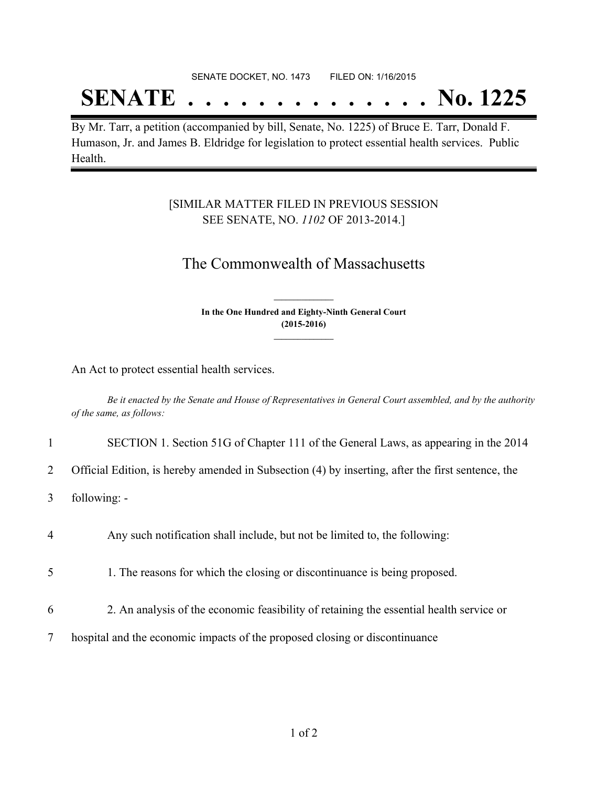#### SENATE DOCKET, NO. 1473 FILED ON: 1/16/2015

## **SENATE . . . . . . . . . . . . . . No. 1225**

By Mr. Tarr, a petition (accompanied by bill, Senate, No. 1225) of Bruce E. Tarr, Donald F. Humason, Jr. and James B. Eldridge for legislation to protect essential health services. Public Health.

#### [SIMILAR MATTER FILED IN PREVIOUS SESSION SEE SENATE, NO. *1102* OF 2013-2014.]

### The Commonwealth of Massachusetts

**In the One Hundred and Eighty-Ninth General Court (2015-2016) \_\_\_\_\_\_\_\_\_\_\_\_\_\_\_**

**\_\_\_\_\_\_\_\_\_\_\_\_\_\_\_**

An Act to protect essential health services.

Be it enacted by the Senate and House of Representatives in General Court assembled, and by the authority *of the same, as follows:*

1 SECTION 1. Section 51G of Chapter 111 of the General Laws, as appearing in the 2014

2 Official Edition, is hereby amended in Subsection (4) by inserting, after the first sentence, the

- 3 following: -
- 4 Any such notification shall include, but not be limited to, the following:
- 5 1. The reasons for which the closing or discontinuance is being proposed.
- 6 2. An analysis of the economic feasibility of retaining the essential health service or
- 7 hospital and the economic impacts of the proposed closing or discontinuance